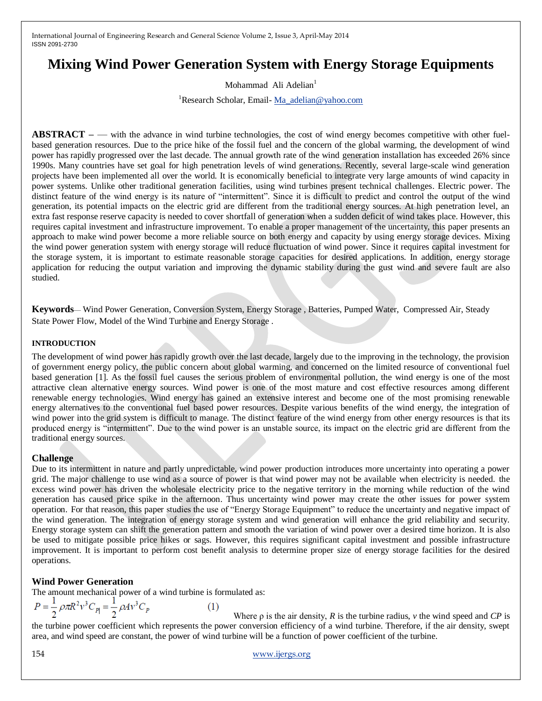# **Mixing Wind Power Generation System with Energy Storage Equipments**

Mohammad Ali Adelian<sup>1</sup>

<sup>1</sup>Research Scholar, Email- [Ma\\_adelian@yahoo.com](mailto:Ma_adelian@yahoo.com)

**ABSTRACT –**— with the advance in wind turbine technologies, the cost of wind energy becomes competitive with other fuelbased generation resources. Due to the price hike of the fossil fuel and the concern of the global warming, the development of wind power has rapidly progressed over the last decade. The annual growth rate of the wind generation installation has exceeded 26% since 1990s. Many countries have set goal for high penetration levels of wind generations. Recently, several large-scale wind generation projects have been implemented all over the world. It is economically beneficial to integrate very large amounts of wind capacity in power systems. Unlike other traditional generation facilities, using wind turbines present technical challenges. Electric power. The distinct feature of the wind energy is its nature of "intermittent". Since it is difficult to predict and control the output of the wind generation, its potential impacts on the electric grid are different from the traditional energy sources. At high penetration level, an extra fast response reserve capacity is needed to cover shortfall of generation when a sudden deficit of wind takes place. However, this requires capital investment and infrastructure improvement. To enable a proper management of the uncertainty, this paper presents an approach to make wind power become a more reliable source on both energy and capacity by using energy storage devices. Mixing the wind power generation system with energy storage will reduce fluctuation of wind power. Since it requires capital investment for the storage system, it is important to estimate reasonable storage capacities for desired applications. In addition, energy storage application for reducing the output variation and improving the dynamic stability during the gust wind and severe fault are also studied.

**Keywords**— Wind Power Generation, Conversion System, Energy Storage , Batteries, Pumped Water, Compressed Air, Steady State Power Flow, Model of the Wind Turbine and Energy Storage .

#### **INTRODUCTION**

The development of wind power has rapidly growth over the last decade, largely due to the improving in the technology, the provision of government energy policy, the public concern about global warming, and concerned on the limited resource of conventional fuel based generation [1]. As the fossil fuel causes the serious problem of environmental pollution, the wind energy is one of the most attractive clean alternative energy sources. Wind power is one of the most mature and cost effective resources among different renewable energy technologies. Wind energy has gained an extensive interest and become one of the most promising renewable energy alternatives to the conventional fuel based power resources. Despite various benefits of the wind energy, the integration of wind power into the grid system is difficult to manage. The distinct feature of the wind energy from other energy resources is that its produced energy is "intermittent". Due to the wind power is an unstable source, its impact on the electric grid are different from the traditional energy sources.

## **Challenge**

Due to its intermittent in nature and partly unpredictable, wind power production introduces more uncertainty into operating a power grid. The major challenge to use wind as a source of power is that wind power may not be available when electricity is needed. the excess wind power has driven the wholesale electricity price to the negative territory in the morning while reduction of the wind generation has caused price spike in the afternoon. Thus uncertainty wind power may create the other issues for power system operation. For that reason, this paper studies the use of "Energy Storage Equipment" to reduce the uncertainty and negative impact of the wind generation. The integration of energy storage system and wind generation will enhance the grid reliability and security. Energy storage system can shift the generation pattern and smooth the variation of wind power over a desired time horizon. It is also be used to mitigate possible price hikes or sags. However, this requires significant capital investment and possible infrastructure improvement. It is important to perform cost benefit analysis to determine proper size of energy storage facilities for the desired operations.

# **Wind Power Generation**

The amount mechanical power of a wind turbine is formulated as:

$$
P = \frac{1}{2} \rho \pi R^2 v^3 C_{Pl} = \frac{1}{2} \rho A v^3 C_P
$$

 $(1)$ 

 Where ρ is the air density, *R* is the turbine radius, *v* the wind speed and *CP* is the turbine power coefficient which represents the power conversion efficiency of a wind turbine. Therefore, if the air density, swept area, and wind speed are constant, the power of wind turbine will be a function of power coefficient of the turbine.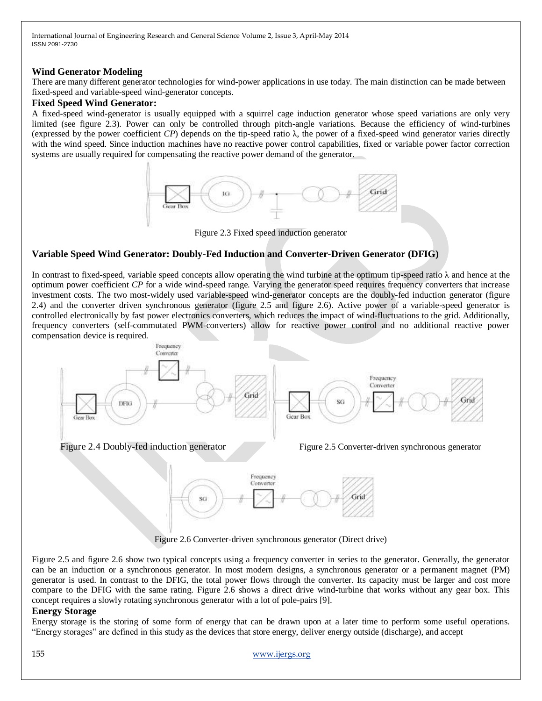#### **Wind Generator Modeling**

There are many different generator technologies for wind-power applications in use today. The main distinction can be made between fixed-speed and variable-speed wind-generator concepts.

#### **Fixed Speed Wind Generator:**

A fixed-speed wind-generator is usually equipped with a squirrel cage induction generator whose speed variations are only very limited (see figure 2.3). Power can only be controlled through pitch-angle variations. Because the efficiency of wind-turbines (expressed by the power coefficient *CP*) depends on the tip-speed ratio  $\lambda$ , the power of a fixed-speed wind generator varies directly with the wind speed. Since induction machines have no reactive power control capabilities, fixed or variable power factor correction systems are usually required for compensating the reactive power demand of the generator.



Figure 2.3 Fixed speed induction generator

## **Variable Speed Wind Generator: Doubly-Fed Induction and Converter-Driven Generator (DFIG)**

In contrast to fixed-speed, variable speed concepts allow operating the wind turbine at the optimum tip-speed ratio  $\lambda$  and hence at the optimum power coefficient *CP* for a wide wind-speed range. Varying the generator speed requires frequency converters that increase investment costs. The two most-widely used variable-speed wind-generator concepts are the doubly-fed induction generator (figure 2.4) and the converter driven synchronous generator (figure 2.5 and figure 2.6). Active power of a variable-speed generator is controlled electronically by fast power electronics converters, which reduces the impact of wind-fluctuations to the grid. Additionally, frequency converters (self-commutated PWM-converters) allow for reactive power control and no additional reactive power compensation device is required.



Figure 2.6 Converter-driven synchronous generator (Direct drive)

Figure 2.5 and figure 2.6 show two typical concepts using a frequency converter in series to the generator. Generally, the generator can be an induction or a synchronous generator. In most modern designs, a synchronous generator or a permanent magnet (PM) generator is used. In contrast to the DFIG, the total power flows through the converter. Its capacity must be larger and cost more compare to the DFIG with the same rating. Figure 2.6 shows a direct drive wind-turbine that works without any gear box. This concept requires a slowly rotating synchronous generator with a lot of pole-pairs [9].

# **Energy Storage**

Energy storage is the storing of some form of energy that can be drawn upon at a later time to perform some useful operations. ―Energy storages‖ are defined in this study as the devices that store energy, deliver energy outside (discharge), and accept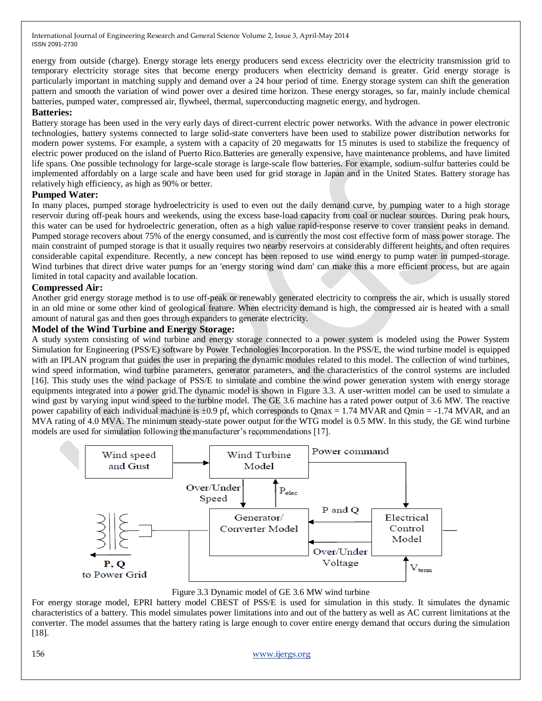energy from outside (charge). Energy storage lets energy producers send excess electricity over the electricity transmission grid to temporary electricity storage sites that become energy producers when electricity demand is greater. Grid energy storage is particularly important in matching supply and demand over a 24 hour period of time. Energy storage system can shift the generation pattern and smooth the variation of wind power over a desired time horizon. These energy storages, so far, mainly include chemical batteries, pumped water, compressed air, flywheel, thermal, superconducting magnetic energy, and hydrogen.

#### **Batteries:**

Battery storage has been used in the very early days of direct-current electric power networks. With the advance in power electronic technologies, battery systems connected to large solid-state converters have been used to stabilize power distribution networks for modern power systems. For example, a system with a capacity of 20 megawatts for 15 minutes is used to stabilize the frequency of electric power produced on the island of Puerto Rico.Batteries are generally expensive, have maintenance problems, and have limited life spans. One possible technology for large-scale storage is large-scale flow batteries. For example, sodium-sulfur batteries could be implemented affordably on a large scale and have been used for grid storage in Japan and in the United States. Battery storage has relatively high efficiency, as high as 90% or better.

#### **Pumped Water:**

In many places, pumped storage hydroelectricity is used to even out the daily demand curve, by pumping water to a high storage reservoir during off-peak hours and weekends, using the excess base-load capacity from coal or nuclear sources. During peak hours, this water can be used for hydroelectric generation, often as a high value rapid-response reserve to cover transient peaks in demand. Pumped storage recovers about 75% of the energy consumed, and is currently the most cost effective form of mass power storage. The main constraint of pumped storage is that it usually requires two nearby reservoirs at considerably different heights, and often requires considerable capital expenditure. Recently, a new concept has been reposed to use wind energy to pump water in pumped-storage. Wind turbines that direct drive water pumps for an 'energy storing wind dam' can make this a more efficient process, but are again limited in total capacity and available location.

#### **Compressed Air:**

Another grid energy storage method is to use off-peak or renewably generated electricity to compress the air, which is usually stored in an old mine or some other kind of geological feature. When electricity demand is high, the compressed air is heated with a small amount of natural gas and then goes through expanders to generate electricity.

#### **Model of the Wind Turbine and Energy Storage:**

A study system consisting of wind turbine and energy storage connected to a power system is modeled using the Power System Simulation for Engineering (PSS/E) software by Power Technologies Incorporation. In the PSS/E, the wind turbine model is equipped with an IPLAN program that guides the user in preparing the dynamic modules related to this model. The collection of wind turbines, wind speed information, wind turbine parameters, generator parameters, and the characteristics of the control systems are included [16]. This study uses the wind package of PSS/E to simulate and combine the wind power generation system with energy storage equipments integrated into a power grid. The dynamic model is shown in Figure 3.3. A user-written model can be used to simulate a wind gust by varying input wind speed to the turbine model. The GE 3.6 machine has a rated power output of 3.6 MW. The reactive power capability of each individual machine is  $\pm 0.9$  pf, which corresponds to Omax = 1.74 MVAR and Omin = -1.74 MVAR, and an MVA rating of 4.0 MVA. The minimum steady-state power output for the WTG model is 0.5 MW. In this study, the GE wind turbine models are used for simulation following the manufacturer's recommendations [17].



Figure 3.3 Dynamic model of GE 3.6 MW wind turbine

For energy storage model, EPRI battery model CBEST of PSS/E is used for simulation in this study. It simulates the dynamic characteristics of a battery. This model simulates power limitations into and out of the battery as well as AC current limitations at the converter. The model assumes that the battery rating is large enough to cover entire energy demand that occurs during the simulation [18].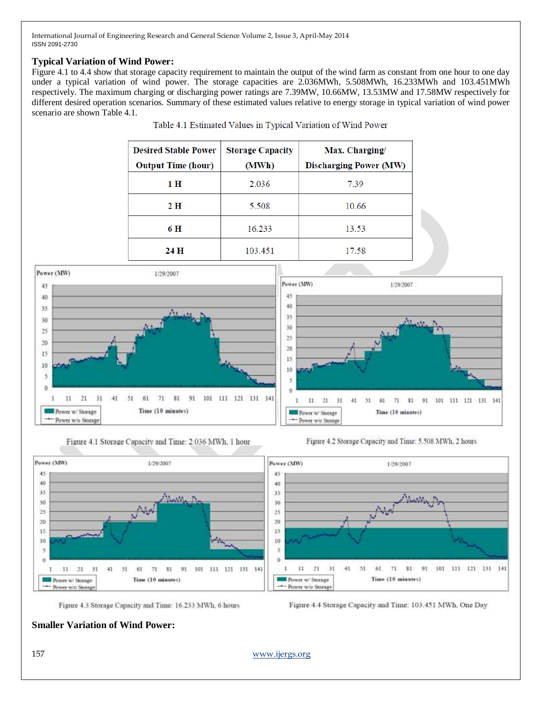# **Typical Variation of Wind Power:**

Figure 4.1 to 4.4 show that storage capacity requirement to maintain the output of the wind farm as constant from one hour to one day under a typical variation of wind power. The storage capacities are 2.036MWh, 5.508MWh, 16.233MWh and 103.451MWh respectively. The maximum charging or discharging power ratings are 7.39MW, 10.66MW, 13.53MW and 17.58MW respectively for different desired operation scenarios. Summary of these estimated values relative to energy storage in typical variation of wind power scenario are shown Table 4.1.

| <b>Desired Stable Power</b> | <b>Storage Capacity</b> | Max. Charging/                |
|-----------------------------|-------------------------|-------------------------------|
| <b>Output Time (hour)</b>   | (MWh)                   | <b>Discharging Power (MW)</b> |
| 1 H                         | 2.036                   | 7.39                          |
| 2 H                         | 5.508                   | 10.66                         |
| 6 H                         | 16.233                  | 13.53                         |
| 24 H                        | 103.451                 | 17.58                         |













Figure 4.4 Storage Capacity and Time: 103.451 MWh, One Day

# **Smaller Variation of Wind Power:**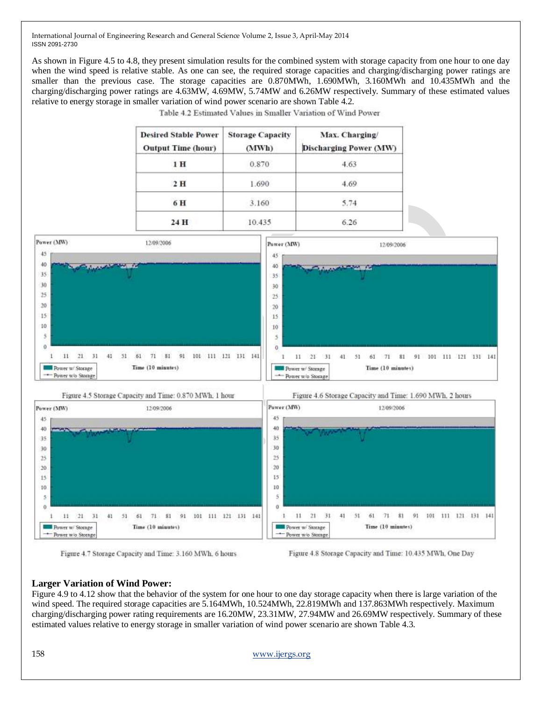As shown in Figure 4.5 to 4.8, they present simulation results for the combined system with storage capacity from one hour to one day when the wind speed is relative stable. As one can see, the required storage capacities and charging/discharging power ratings are smaller than the previous case. The storage capacities are 0.870MWh, 1.690MWh, 3.160MWh and 10.435MWh and the charging/discharging power ratings are 4.63MW, 4.69MW, 5.74MW and 6.26MW respectively. Summary of these estimated values relative to energy storage in smaller variation of wind power scenario are shown Table 4.2.

| <b>Discharging Power (MW)</b> |
|-------------------------------|
| 4.63                          |
| 4.69                          |
| 5.74                          |
| 6.26                          |
|                               |

Table 4.2 Estimated Values in Smaller Variation of Wind Power



Figure 4.7 Storage Capacity and Time: 3.160 MWh, 6 hours

Figure 4.8 Storage Capacity and Time: 10.435 MWh, One Day

## **Larger Variation of Wind Power:**

Figure 4.9 to 4.12 show that the behavior of the system for one hour to one day storage capacity when there is large variation of the wind speed. The required storage capacities are 5.164MWh, 10.524MWh, 22.819MWh and 137.863MWh respectively. Maximum charging/discharging power rating requirements are 16.20MW, 23.31MW, 27.94MW and 26.69MW respectively. Summary of these estimated values relative to energy storage in smaller variation of wind power scenario are shown Table 4.3.

158 [www.ijergs.org](http://www.ijergs.org/)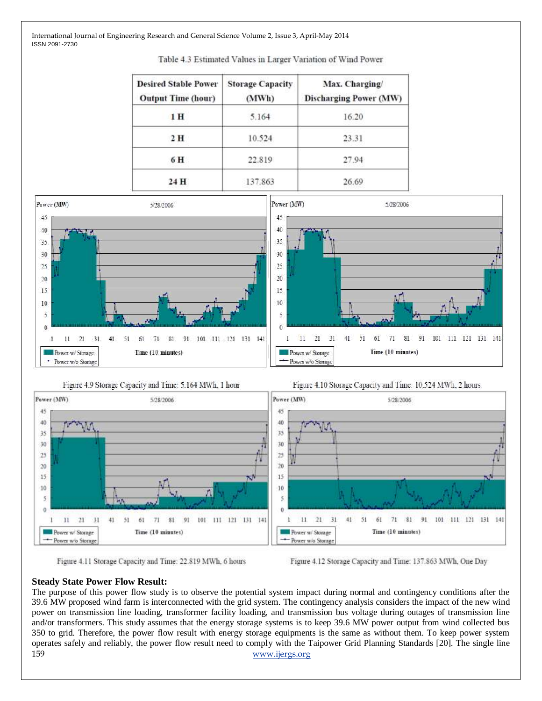| <b>Desired Stable Power</b><br><b>Output Time (hour)</b> | <b>Storage Capacity</b><br>(MWh) | Max. Charging/<br><b>Discharging Power (MW)</b> |
|----------------------------------------------------------|----------------------------------|-------------------------------------------------|
| 1H                                                       | 5.164                            | 16.20                                           |
| 2 H                                                      | 10.524                           | 23.31                                           |
| 6 H                                                      | 22.819                           | 27.94                                           |
| 24 H                                                     | 137.863                          | 26.69                                           |











Figure 4.12 Storage Capacity and Time: 137.863 MWh, One Day

#### **Steady State Power Flow Result:**

159 [www.ijergs.org](http://www.ijergs.org/) The purpose of this power flow study is to observe the potential system impact during normal and contingency conditions after the 39.6 MW proposed wind farm is interconnected with the grid system. The contingency analysis considers the impact of the new wind power on transmission line loading, transformer facility loading, and transmission bus voltage during outages of transmission line and/or transformers. This study assumes that the energy storage systems is to keep 39.6 MW power output from wind collected bus 350 to grid. Therefore, the power flow result with energy storage equipments is the same as without them. To keep power system operates safely and reliably, the power flow result need to comply with the Taipower Grid Planning Standards [20]. The single line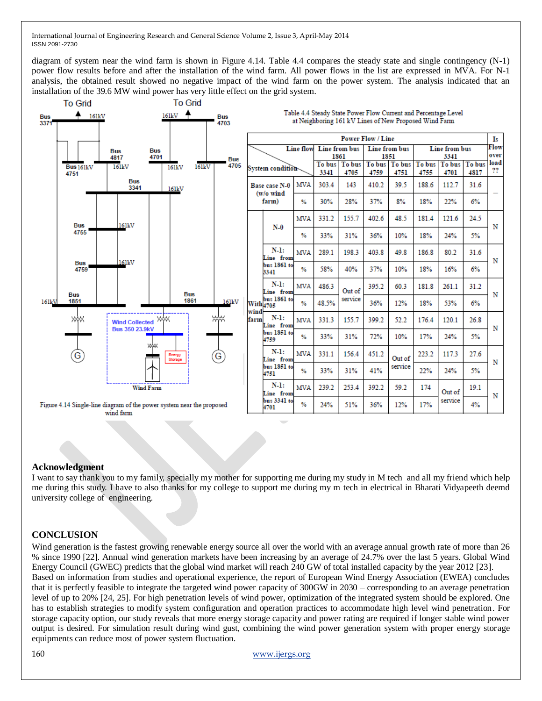diagram of system near the wind farm is shown in Figure 4.14. Table 4.4 compares the steady state and single contingency (N-1) power flow results before and after the installation of the wind farm. All power flows in the list are expressed in MVA. For N-1 analysis, the obtained result showed no negative impact of the wind farm on the power system. The analysis indicated that an installation of the 39.6 MW wind power has very little effect on the grid system.



#### **Acknowledgment**

I want to say thank you to my family, specially my mother for supporting me during my study in M tech and all my friend which help me during this study. I have to also thanks for my college to support me during my m tech in electrical in Bharati Vidyapeeth deemd university college of engineering.

#### **CONCLUSION**

Wind generation is the fastest growing renewable energy source all over the world with an average annual growth rate of more than 26 % since 1990 [22]. Annual wind generation markets have been increasing by an average of 24.7% over the last 5 years. Global Wind Energy Council (GWEC) predicts that the global wind market will reach 240 GW of total installed capacity by the year 2012 [23]. Based on information from studies and operational experience, the report of European Wind Energy Association (EWEA) concludes that it is perfectly feasible to integrate the targeted wind power capacity of 300GW in 2030 – corresponding to an average penetration level of up to 20% [24, 25]. For high penetration levels of wind power, optimization of the integrated system should be explored. One has to establish strategies to modify system configuration and operation practices to accommodate high level wind penetration. For storage capacity option, our study reveals that more energy storage capacity and power rating are required if longer stable wind power output is desired. For simulation result during wind gust, combining the wind power generation system with proper energy storage equipments can reduce most of power system fluctuation.

160 [www.ijergs.org](http://www.ijergs.org/)